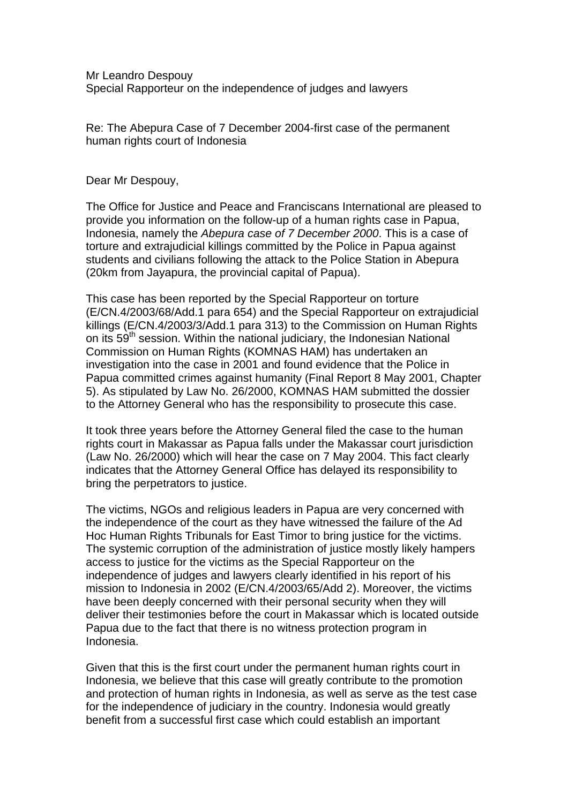Mr Leandro Despouy Special Rapporteur on the independence of judges and lawyers

Re: The Abepura Case of 7 December 2004-first case of the permanent human rights court of Indonesia

Dear Mr Despouy,

The Office for Justice and Peace and Franciscans International are pleased to provide you information on the follow-up of a human rights case in Papua, Indonesia, namely the *Abepura case of 7 December 2000*. This is a case of torture and extrajudicial killings committed by the Police in Papua against students and civilians following the attack to the Police Station in Abepura (20km from Jayapura, the provincial capital of Papua).

This case has been reported by the Special Rapporteur on torture (E/CN.4/2003/68/Add.1 para 654) and the Special Rapporteur on extrajudicial killings (E/CN.4/2003/3/Add.1 para 313) to the Commission on Human Rights on its  $59<sup>th</sup>$  session. Within the national judiciary, the Indonesian National Commission on Human Rights (KOMNAS HAM) has undertaken an investigation into the case in 2001 and found evidence that the Police in Papua committed crimes against humanity (Final Report 8 May 2001, Chapter 5). As stipulated by Law No. 26/2000, KOMNAS HAM submitted the dossier to the Attorney General who has the responsibility to prosecute this case.

It took three years before the Attorney General filed the case to the human rights court in Makassar as Papua falls under the Makassar court jurisdiction (Law No. 26/2000) which will hear the case on 7 May 2004. This fact clearly indicates that the Attorney General Office has delayed its responsibility to bring the perpetrators to justice.

The victims, NGOs and religious leaders in Papua are very concerned with the independence of the court as they have witnessed the failure of the Ad Hoc Human Rights Tribunals for East Timor to bring justice for the victims. The systemic corruption of the administration of justice mostly likely hampers access to justice for the victims as the Special Rapporteur on the independence of judges and lawyers clearly identified in his report of his mission to Indonesia in 2002 (E/CN.4/2003/65/Add 2). Moreover, the victims have been deeply concerned with their personal security when they will deliver their testimonies before the court in Makassar which is located outside Papua due to the fact that there is no witness protection program in Indonesia.

Given that this is the first court under the permanent human rights court in Indonesia, we believe that this case will greatly contribute to the promotion and protection of human rights in Indonesia, as well as serve as the test case for the independence of judiciary in the country. Indonesia would greatly benefit from a successful first case which could establish an important